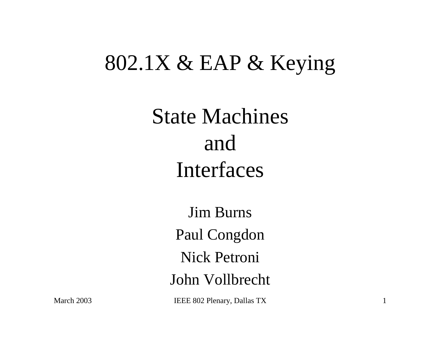#### 802.1X & EAP & Keying

### State Machines and Interfaces

Jim Burns Paul Congdon Nick Petroni John Vollbrecht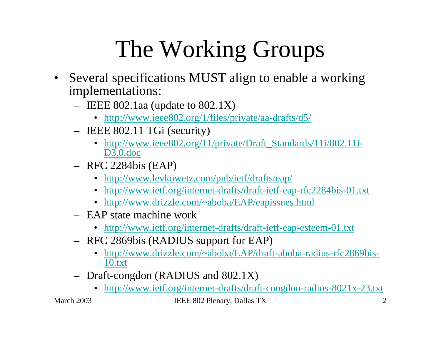# The Working Groups

- Several specifications MUST align to enable a working implementations:
	- IEEE 802.1aa (update to 802.1X)
		- http://www.ieee802.org/1/files/private/aa-drafts/d5/
	- IEEE 802.11 TGi (security)
		- http://www.ieee802.org/11/private/Draft\_Standards/11i/802.11i-D3.0.doc
	- RFC 2284bis (EAP)
		- http://www.levkowetz.com/pub/ietf/drafts/eap/
		- http://www.ietf.org/internet-drafts/draft-ietf-eap-rfc2284bis-01.txt
		- http://www.drizzle.com/~aboba/EAP/eapissues.html
	- EAP state machine work
		- http://www.ietf.org/internet-drafts/draft-ietf-eap-esteem-01.txt
	- RFC 2869bis (RADIUS support for EAP)
		- $\bullet$  http://www.drizzle.com/~aboba/EAP/draft-aboba-radius-rfc2869bis-10.txt
	- Draft-congdon (RADIUS and 802.1X)
		- http://www.ietf.org/internet-drafts/draft-congdon-radius-8021x-23.txt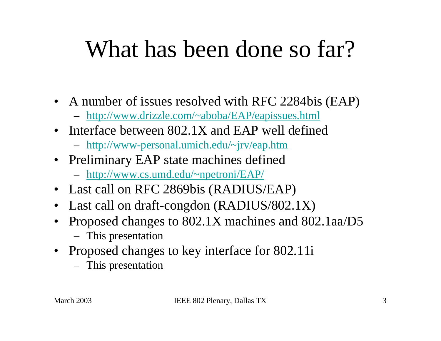## What has been done so far?

- A number of issues resolved with RFC 2284bis (EAP)
	- http://www.drizzle.com/~aboba/EAP/eapissues.html
- Interface between 802.1X and EAP well defined
	- http://www-personal.umich.edu/~jrv/eap.htm
- Preliminary EAP state machines defined
	- http://www.cs.umd.edu/~npetroni/EAP/
- Last call on RFC 2869bis (RADIUS/EAP)
- Last call on draft-congdon (RADIUS/802.1X)
- • Proposed changes to 802.1X machines and 802.1aa/D5
	- This presentation
- Proposed changes to key interface for 802.11i
	- This presentation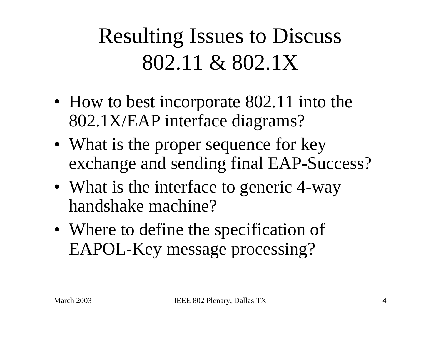Resulting Issues to Discuss 802.11 & 802.1X

- How to best incorporate 802.11 into the 802.1X/EAP interface diagrams?
- What is the proper sequence for key exchange and sending final EAP-Success?
- What is the interface to generic 4-way handshake machine?
- Where to define the specification of EAPOL-Key message processing?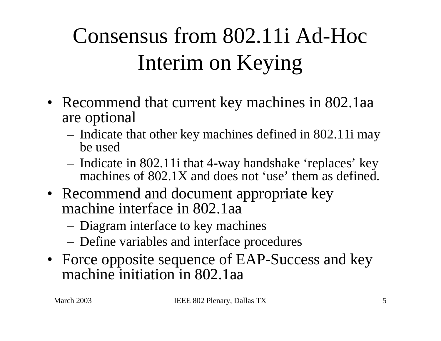## Consensus from 802.11i Ad-Hoc Interim on Keying

- Recommend that current key machines in 802.1aa are optional
	- Indicate that other key machines defined in 802.11i may be used
	- Indicate in 802.11i that 4-way handshake 'replaces' key machines of 802.1X and does not 'use' them as defined.
- Recommend and document appropriate key machine interface in 802.1aa
	- Diagram interface to key machines
	- Define variables and interface procedures
- Force opposite sequence of EAP-Success and key machine initiation in 802.1aa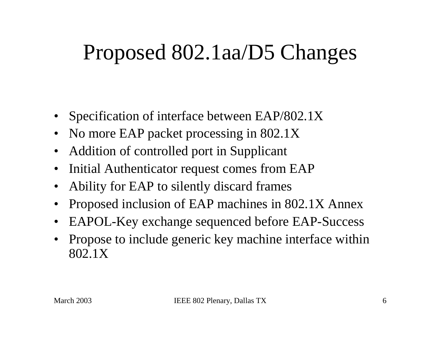#### Proposed 802.1aa/D5 Changes

- •Specification of interface between EAP/802.1X
- •No more EAP packet processing in 802.1X
- •Addition of controlled port in Supplicant
- •Initial Authenticator request comes from EAP
- •Ability for EAP to silently discard frames
- •Proposed inclusion of EAP machines in 802.1X Annex
- $\bullet$ EAPOL-Key exchange sequenced before EAP-Success
- • Propose to include generic key machine interface within 802.1X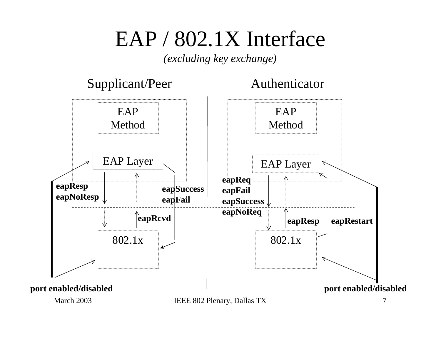#### EAP / 802.1X Interface

*(excluding key exchange)*

#### Supplicant/Peer Authenticator

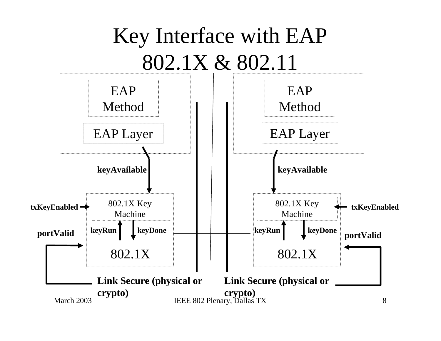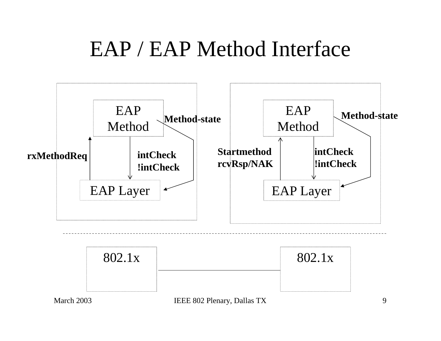#### EAP / EAP Method Interface

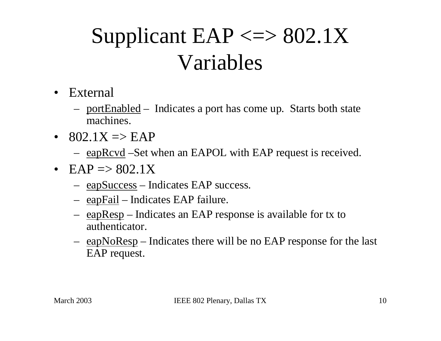## Supplicant  $EAP \leq >> 802.1X$ Variables

- $\bullet$  External
	- portEnabled Indicates a port has come up. Starts both state machines.
- 802.1X => EAP
	- eapRcvd –Set when an EAPOL with EAP request is received.
- EAP  $\Rightarrow$  802.1X
	- eapSuccess Indicates EAP success.
	- eapFail Indicates EAP failure.
	- eapResp Indicates an EAP response is available for tx to authenticator.
	- eapNoResp Indicates there will be no EAP response for the last EAP request.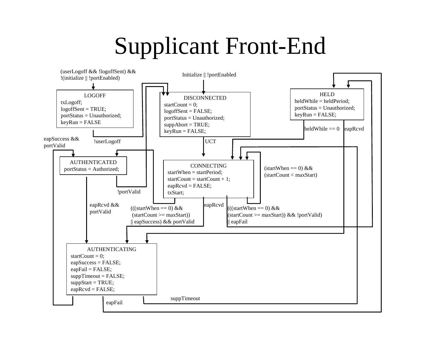## Supplicant Front-End

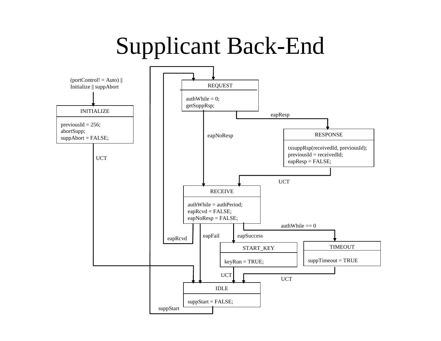## Supplicant Back-End

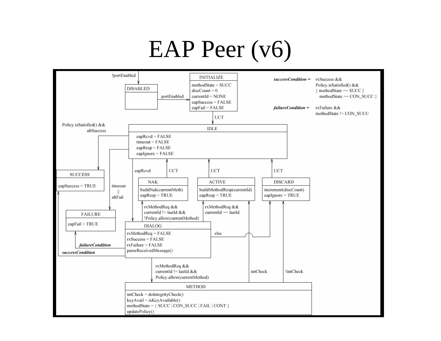## EAP Peer (v6)

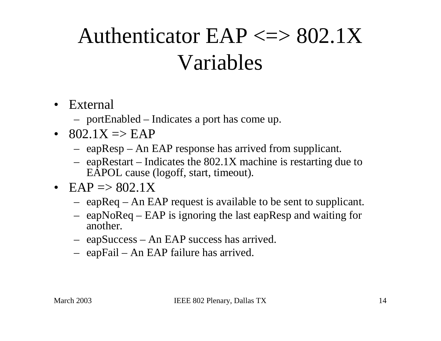## Authenticator  $EAP \leq >> 802.1X$ Variables

- External
	- portEnabled Indicates a port has come up.
- 802.1X  $\Rightarrow$  EAP
	- eapResp An EAP response has arrived from supplicant.
	- eapRestart Indicates the 802.1X machine is restarting due to EAPOL cause (logoff, start, timeout).
- EAP  $\Rightarrow$  802.1X
	- eapReq An EAP request is available to be sent to supplicant.
	- eapNoReq EAP is ignoring the last eapResp and waiting for another.
	- eapSuccess An EAP success has arrived.
	- eapFail An EAP failure has arrived.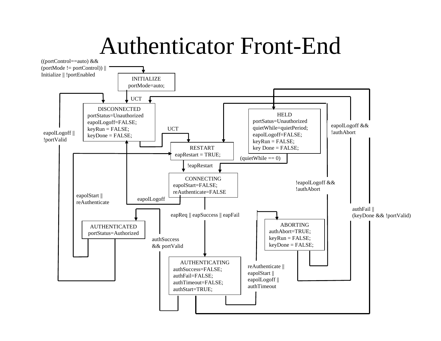#### Authenticator Front-End

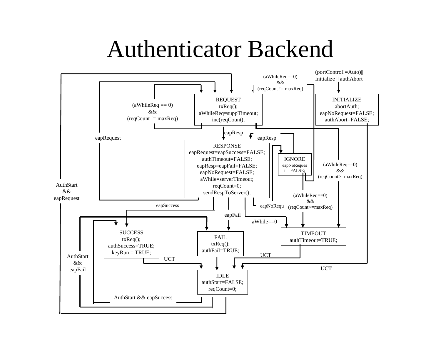#### Authenticator Backend

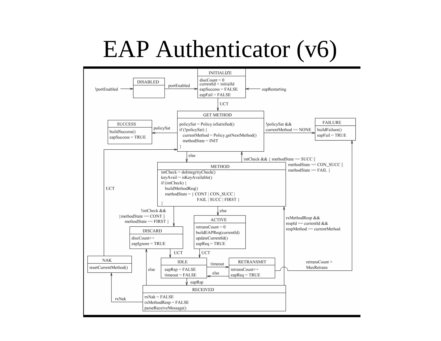## EAP Authenticator (v6)

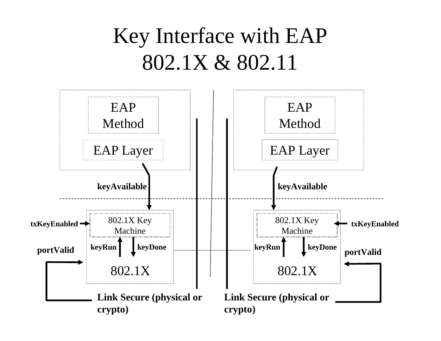### Key Interface with EAP 802.1X & 802.11

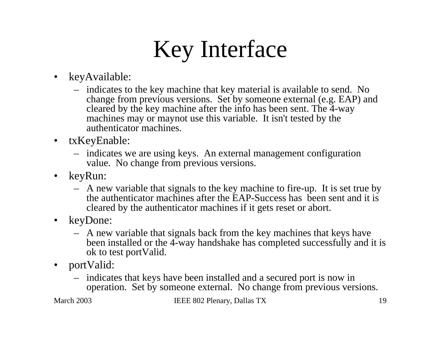# Key Interface

- $\bullet$  keyAvailable:
	- indicates to the key machine that key material is available to send. No change from previous versions. Set by someone external (e.g. EAP) and cleared by the key machine after the info has been sent. The 4-way machines may or maynot use this variable. It isn't tested by the authenticator machines.
- • txKeyEnable:
	- indicates we are using keys. An external management configuration value. No change from previous versions.
- $\bullet$  keyRun:
	- A new variable that signals to the key machine to fire-up. It is set true by the authenticator machines after the EAP-Success has been sent and it is cleared by the authenticator machines if it gets reset or abort.
- • keyDone:
	- A new variable that signals back from the key machines that keys have been installed or the 4-way handshake has completed successfully and it is ok to test portValid.
- • portValid:
	- indicates that keys have been installed and a secured port is now in operation. Set by someone external. No change from previous versions.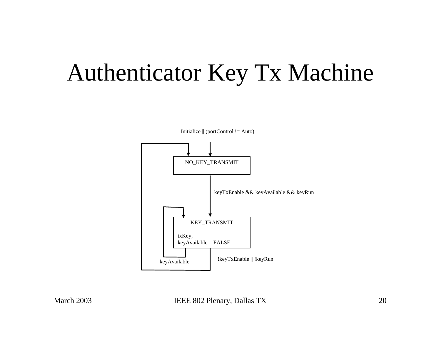## Authenticator Key Tx Machine